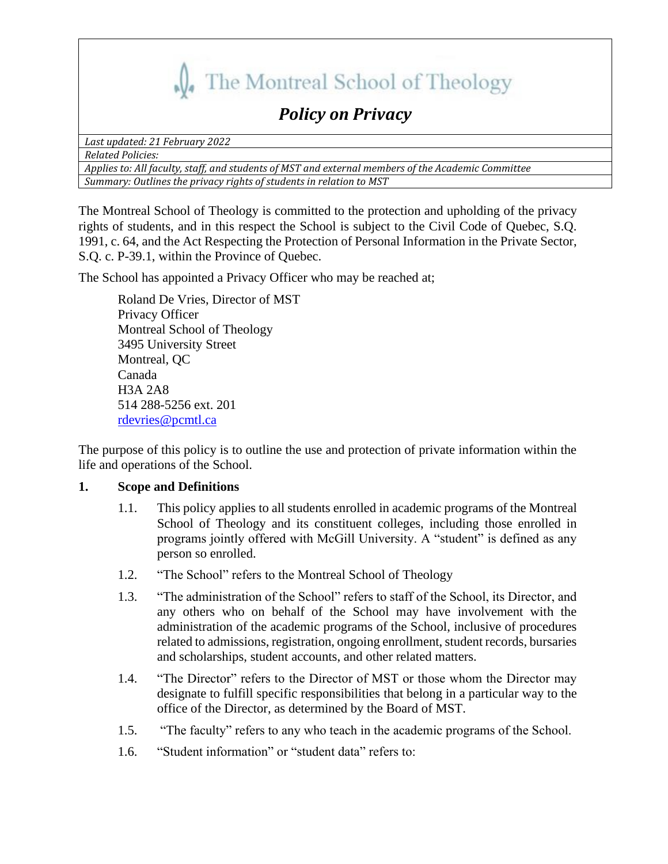

# *Policy on Privacy*

*Last updated: 21 February 2022*

*Related Policies:* 

*Applies to: All faculty, staff, and students of MST and external members of the Academic Committee Summary: Outlines the privacy rights of students in relation to MST*

The Montreal School of Theology is committed to the protection and upholding of the privacy rights of students, and in this respect the School is subject to the Civil Code of Quebec, S.Q. 1991, c. 64, and the Act Respecting the Protection of Personal Information in the Private Sector, S.Q. c. P-39.1, within the Province of Quebec.

The School has appointed a Privacy Officer who may be reached at;

Roland De Vries, Director of MST Privacy Officer Montreal School of Theology 3495 University Street Montreal, QC Canada H3A 2A8 514 288-5256 ext. 201 [rdevries@pcmtl.ca](mailto:rdevries@pcmtl.ca)

The purpose of this policy is to outline the use and protection of private information within the life and operations of the School.

## **1. Scope and Definitions**

- 1.1. This policy applies to all students enrolled in academic programs of the Montreal School of Theology and its constituent colleges, including those enrolled in programs jointly offered with McGill University. A "student" is defined as any person so enrolled.
- 1.2. "The School" refers to the Montreal School of Theology
- 1.3. "The administration of the School" refers to staff of the School, its Director, and any others who on behalf of the School may have involvement with the administration of the academic programs of the School, inclusive of procedures related to admissions, registration, ongoing enrollment, student records, bursaries and scholarships, student accounts, and other related matters.
- 1.4. "The Director" refers to the Director of MST or those whom the Director may designate to fulfill specific responsibilities that belong in a particular way to the office of the Director, as determined by the Board of MST.
- 1.5. "The faculty" refers to any who teach in the academic programs of the School.
- 1.6. "Student information" or "student data" refers to: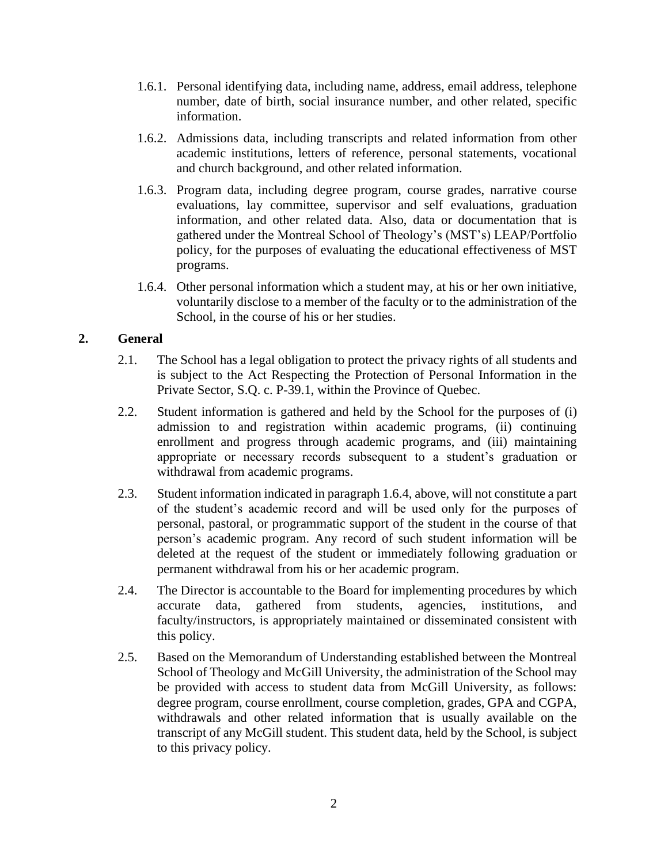- 1.6.1. Personal identifying data, including name, address, email address, telephone number, date of birth, social insurance number, and other related, specific information.
- 1.6.2. Admissions data, including transcripts and related information from other academic institutions, letters of reference, personal statements, vocational and church background, and other related information.
- 1.6.3. Program data, including degree program, course grades, narrative course evaluations, lay committee, supervisor and self evaluations, graduation information, and other related data. Also, data or documentation that is gathered under the Montreal School of Theology's (MST's) LEAP/Portfolio policy, for the purposes of evaluating the educational effectiveness of MST programs.
- 1.6.4. Other personal information which a student may, at his or her own initiative, voluntarily disclose to a member of the faculty or to the administration of the School, in the course of his or her studies.

## **2. General**

- 2.1. The School has a legal obligation to protect the privacy rights of all students and is subject to the Act Respecting the Protection of Personal Information in the Private Sector, S.Q. c. P-39.1, within the Province of Quebec.
- 2.2. Student information is gathered and held by the School for the purposes of (i) admission to and registration within academic programs, (ii) continuing enrollment and progress through academic programs, and (iii) maintaining appropriate or necessary records subsequent to a student's graduation or withdrawal from academic programs.
- 2.3. Student information indicated in paragraph 1.6.4, above, will not constitute a part of the student's academic record and will be used only for the purposes of personal, pastoral, or programmatic support of the student in the course of that person's academic program. Any record of such student information will be deleted at the request of the student or immediately following graduation or permanent withdrawal from his or her academic program.
- 2.4. The Director is accountable to the Board for implementing procedures by which accurate data, gathered from students, agencies, institutions, and faculty/instructors, is appropriately maintained or disseminated consistent with this policy.
- 2.5. Based on the Memorandum of Understanding established between the Montreal School of Theology and McGill University, the administration of the School may be provided with access to student data from McGill University, as follows: degree program, course enrollment, course completion, grades, GPA and CGPA, withdrawals and other related information that is usually available on the transcript of any McGill student. This student data, held by the School, is subject to this privacy policy.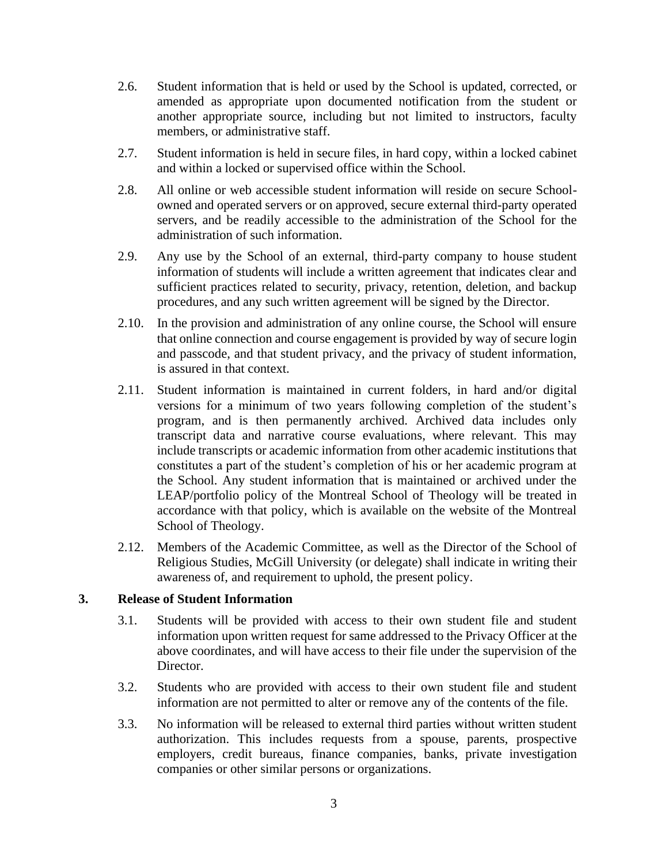- 2.6. Student information that is held or used by the School is updated, corrected, or amended as appropriate upon documented notification from the student or another appropriate source, including but not limited to instructors, faculty members, or administrative staff.
- 2.7. Student information is held in secure files, in hard copy, within a locked cabinet and within a locked or supervised office within the School.
- 2.8. All online or web accessible student information will reside on secure Schoolowned and operated servers or on approved, secure external third-party operated servers, and be readily accessible to the administration of the School for the administration of such information.
- 2.9. Any use by the School of an external, third-party company to house student information of students will include a written agreement that indicates clear and sufficient practices related to security, privacy, retention, deletion, and backup procedures, and any such written agreement will be signed by the Director.
- 2.10. In the provision and administration of any online course, the School will ensure that online connection and course engagement is provided by way of secure login and passcode, and that student privacy, and the privacy of student information, is assured in that context.
- 2.11. Student information is maintained in current folders, in hard and/or digital versions for a minimum of two years following completion of the student's program, and is then permanently archived. Archived data includes only transcript data and narrative course evaluations, where relevant. This may include transcripts or academic information from other academic institutions that constitutes a part of the student's completion of his or her academic program at the School. Any student information that is maintained or archived under the LEAP/portfolio policy of the Montreal School of Theology will be treated in accordance with that policy, which is available on the website of the Montreal School of Theology.
- 2.12. Members of the Academic Committee, as well as the Director of the School of Religious Studies, McGill University (or delegate) shall indicate in writing their awareness of, and requirement to uphold, the present policy.

### **3. Release of Student Information**

- 3.1. Students will be provided with access to their own student file and student information upon written request for same addressed to the Privacy Officer at the above coordinates, and will have access to their file under the supervision of the Director.
- 3.2. Students who are provided with access to their own student file and student information are not permitted to alter or remove any of the contents of the file.
- 3.3. No information will be released to external third parties without written student authorization. This includes requests from a spouse, parents, prospective employers, credit bureaus, finance companies, banks, private investigation companies or other similar persons or organizations.